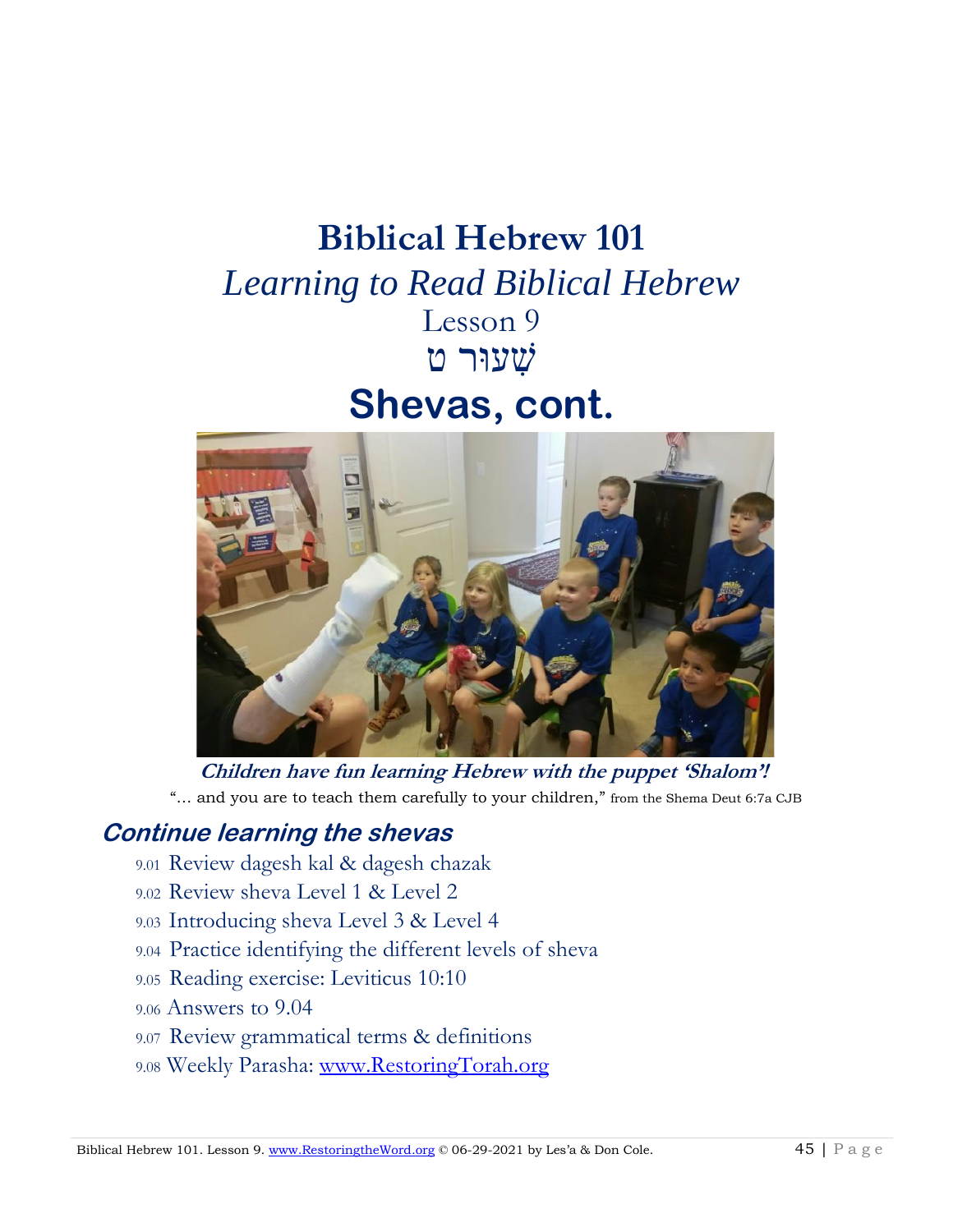## **Biblical Hebrew 101**

*Learning to Read Biblical Hebrew* Lesson 9 שִׁ עוּר ט

# **Shevas, cont.**



**Children have fun learning Hebrew with the puppet 'Shalom'!** "… and you are to teach them carefully to your children," from the Shema Deut 6:7a CJB

## **Continue learning the shevas**

- 9.01 Review dagesh kal & dagesh chazak
- 9.02 Review sheva Level 1 & Level 2
- 9.03 Introducing sheva Level 3 & Level 4
- 9.04Practice identifying the different levels of sheva
- 9.05 Reading exercise: Leviticus 10:10
- 9.06 Answers to 9.04
- 9.07 Review grammatical terms & definitions
- 9.08 Weekly Parasha: [www.RestoringTorah.org](http://www.restoringtorah.org/)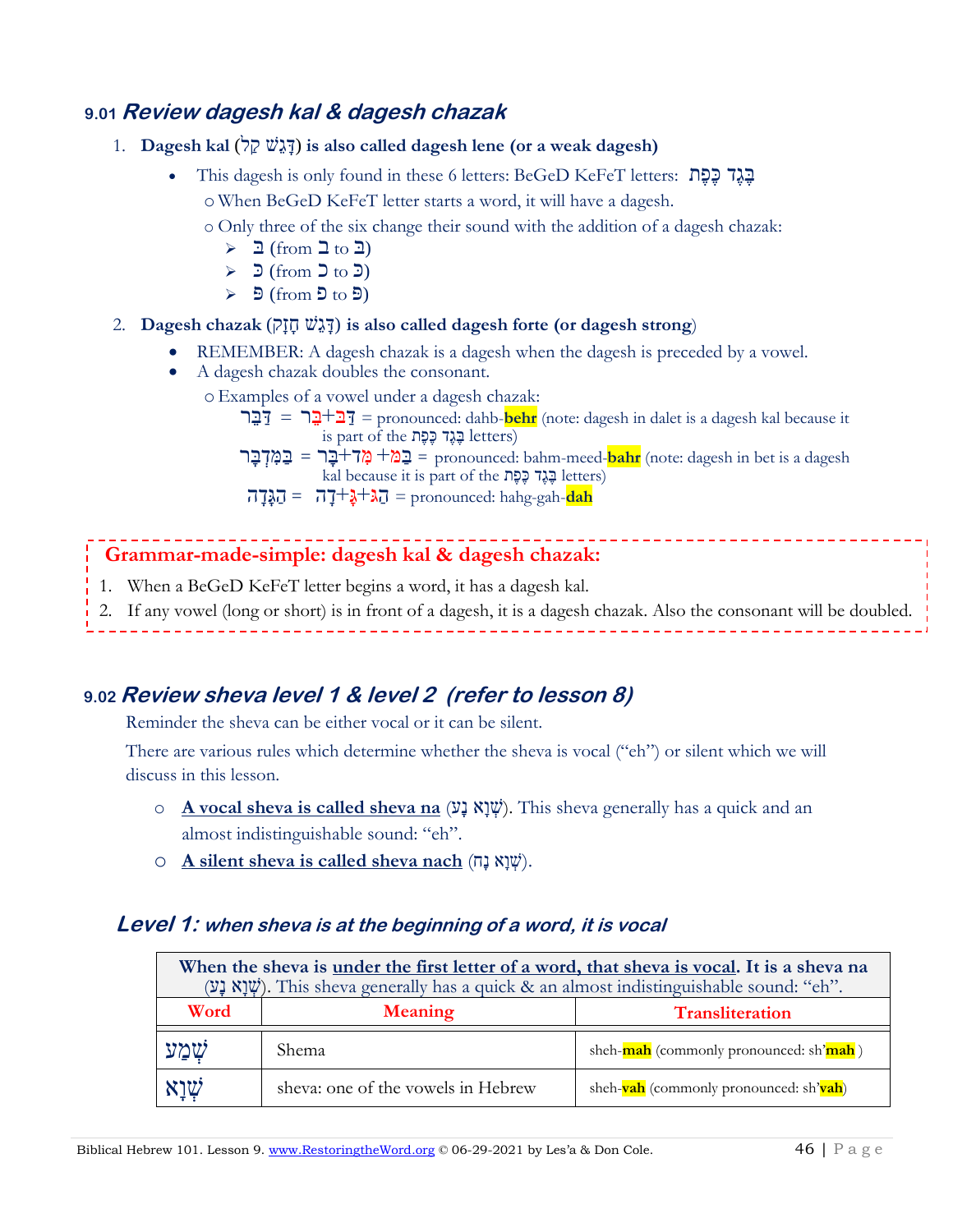#### **9.01 Review dagesh kal & dagesh chazak**

- 1. **Dagesh kal** (לַק שֵׁג ָד (**is also called dagesh lene (or a weak dagesh)**
	- This dagesh is only found in these 6 letters: BeGeD KeFeT letters: תֶּפֶּכ דֶּגֶּב
		- o When BeGeD KeFeT letter starts a word, it will have a dagesh.
		- o Only three of the six change their sound with the addition of a dagesh chazak:
			- $\geq$   $\exists$  (from  $\exists$  to  $\exists$ )
			- $\geq$   $\exists$  (from  $\exists$  to  $\exists$ )
			- $\triangleright$   $\exists$  (from  $\exists$  to  $\exists$ )
- 2. **Dagesh chazak** (קָזָח שֵׁג ָד (**is also called dagesh forte (or dagesh strong**)
	- REMEMBER: A dagesh chazak is a dagesh when the dagesh is preceded by a vowel.
	- A dagesh chazak doubles the consonant.
		- oExamples of a vowel under a dagesh chazak:
			- רֵבּ ַּד = ר ֵבּ +בּ ַּד = pronounced: dahb-**behr** (note: dagesh in dalet is a dagesh kal because it  $i$ גֶּגֶד כֶּפֶּת בָּנֶד letters)
			- dagesh a is bet in dagesh :note (**bahr**-meed-bahm :pronounced = בַּּ מ+ מִ ד+בָּר = בַּּמִּ דְ בָּר kal because it is part of the תֶּפֶּכ דֶּגֶּבּ letters)
			- $\overline{u} = \overline{u} + \overline{u} + \overline{u} + \overline{u} =$  pronounced: hahg-gah-**dah**

#### **Grammar-made-simple: dagesh kal & dagesh chazak:**

- 1. When a BeGeD KeFeT letter begins a word, it has a dagesh kal.
- 2. If any vowel (long or short) is in front of a dagesh, it is a dagesh chazak. Also the consonant will be doubled.

### **9.02 Review sheva level 1 & level 2 (refer to lesson 8)**

Reminder the sheva can be either vocal or it can be silent.

There are various rules which determine whether the sheva is vocal ("eh") or silent which we will discuss in this lesson.

- o **A vocal sheva is called sheva na** (עָנ אָו ְשׁ(. This sheva generally has a quick and an almost indistinguishable sound: "eh".
- o **A silent sheva is called sheva nach** (שְׁנַא  $\psi$ ).

#### **Level 1: when sheva is at the beginning of a word, it is vocal**

| When the sheva is <u>under the first letter of a word</u> , that sheva is vocal. It is a sheva na<br>(שְׁיָא נַע). This sheva generally has a quick & an almost indistinguishable sound: "eh". |                                          |                                        |
|------------------------------------------------------------------------------------------------------------------------------------------------------------------------------------------------|------------------------------------------|----------------------------------------|
| Word                                                                                                                                                                                           | <b>Meaning</b><br><b>Transliteration</b> |                                        |
| שִׁמַע                                                                                                                                                                                         | Shema.                                   | sheh-mah (commonly pronounced: sh'mah) |
| שְׁיָא                                                                                                                                                                                         | sheva: one of the vowels in Hebrew       | sheh-vah (commonly pronounced: sh'vah) |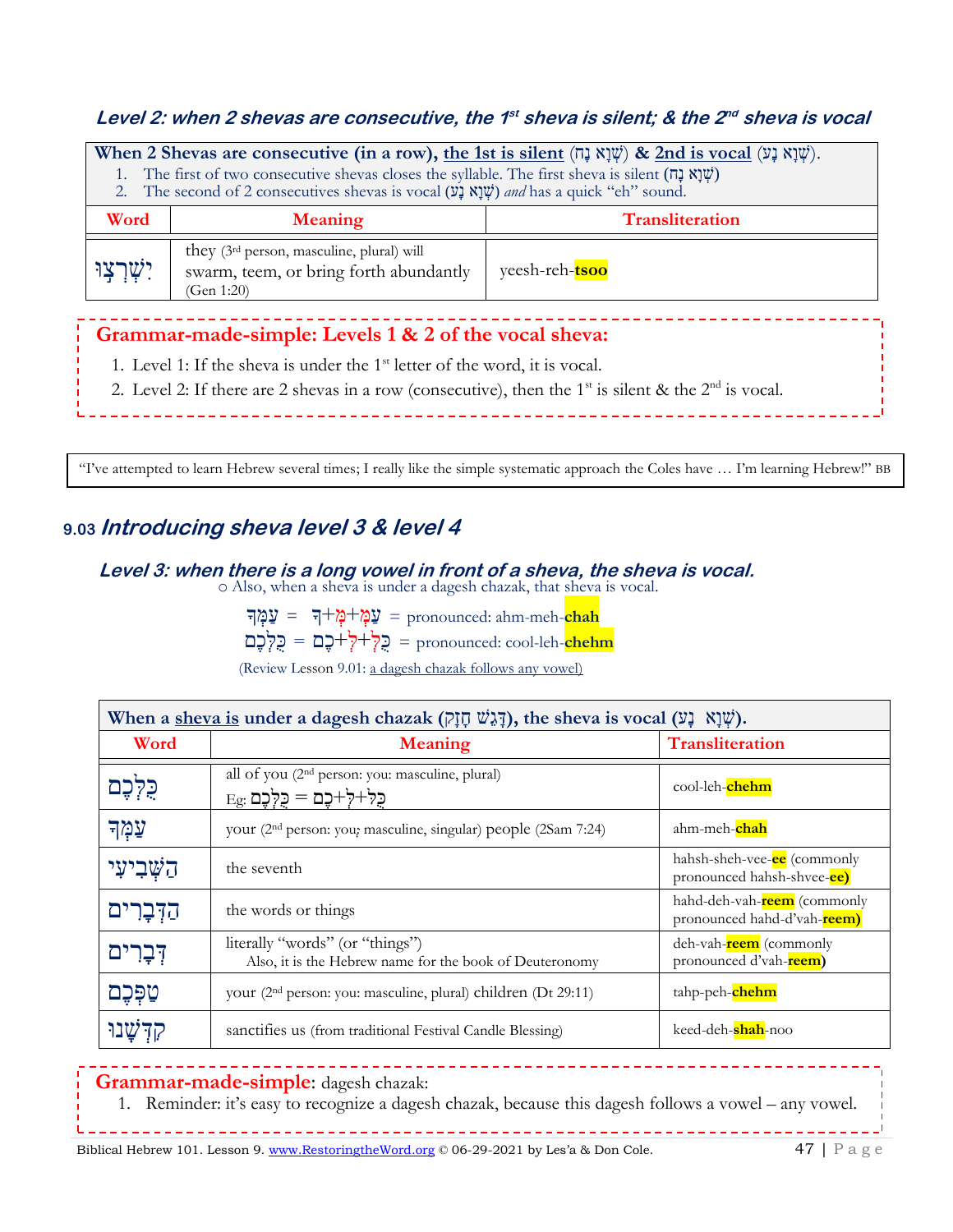#### Level 2: when 2 shevas are consecutive, the 1<sup>st</sup> sheva is silent; & the 2<sup>nd</sup> sheva is vocal

| When 2 Shevas are consecutive (in a row), the 1st is silent (עְנָא נָה) & 2nd is vocal (שְׁנָא נָט).<br>1. The first of two consecutive shevas closes the syllable. The first sheva is silent (שְׁוַא $\ddot{\psi}$ )<br>2. The second of 2 consecutives shevas is vocal (שְׁיָא נָשׁ) and has a quick "eh" sound. |                                                                                                                  |                |
|--------------------------------------------------------------------------------------------------------------------------------------------------------------------------------------------------------------------------------------------------------------------------------------------------------------------|------------------------------------------------------------------------------------------------------------------|----------------|
| Word                                                                                                                                                                                                                                                                                                               | <b>Transliteration</b><br><b>Meaning</b>                                                                         |                |
| יִשָׁרְצְוּ                                                                                                                                                                                                                                                                                                        | they (3 <sup>rd</sup> person, masculine, plural) will<br>swarm, teem, or bring forth abundantly<br>(Gen $1:20$ ) | yeesh-reh-tsoo |

#### **Grammar-made-simple: Levels 1 & 2 of the vocal sheva:**

- 1. Level 1: If the sheva is under the  $1<sup>st</sup>$  letter of the word, it is vocal.
- 2. Level 2: If there are 2 shevas in a row (consecutive), then the  $1<sup>st</sup>$  is silent & the  $2<sup>nd</sup>$  is vocal.

"I've attempted to learn Hebrew several times; I really like the simple systematic approach the Coles have … I'm learning Hebrew!" BB

### **9.03 Introducing sheva level 3 & level 4**

Donna

**Level 3: when there is a long vowel in front of a sheva, the sheva is vocal.** 

o Also, when a sheva is under a dagesh chazak, that sheva is vocal.

**chah**-meh-ahm :pronounced <sup>=</sup> עַּ מְ + מְ ָ+ך <sup>=</sup> עַּמְ ָך

**chehm**-leh-cool :pronounced = כֻּ לְ + לְ + כֶּם = כֻּלְכֶּם

(Review Lesson 9.01: a dagesh chazak follows any vowel)

| When a sheva is under a dagesh chazak ( $\bar{p}$ וֶלְגֹּשׁ חֶזָק), the sheva is vocal ( $\bar{w}$ ). |                                                                                                |                                                                    |
|-------------------------------------------------------------------------------------------------------|------------------------------------------------------------------------------------------------|--------------------------------------------------------------------|
| Word                                                                                                  | <b>Meaning</b>                                                                                 | <b>Transliteration</b>                                             |
| כִּלְּכֵם                                                                                             | all of you (2 <sup>nd</sup> person: you: masculine, plural)<br>$E_g$ : כַּלְ-לָ+כָם = כֻּלְכֶם | cool-leh-chehm                                                     |
| עַמְד                                                                                                 | your (2 <sup>nd</sup> person: you; masculine, singular) people (2Sam 7:24)                     | ahm-meh-chah                                                       |
| הַשָּׁבִיעִי                                                                                          | the seventh                                                                                    | hahsh-sheh-vee- <b>ee</b> (commonly<br>pronounced hahsh-shvee-ce)  |
| הַדְּבָרִים                                                                                           | the words or things                                                                            | hahd-deh-vah- <b>reem</b> (commonly<br>pronounced hahd-d'vah-reem) |
| דְּבָרִים                                                                                             | literally "words" (or "things")<br>Also, it is the Hebrew name for the book of Deuteronomy     | deh-vah- <b>reem</b> (commonly<br>pronounced d'vah-reem)           |
| טַפִּכֵם                                                                                              | your (2 <sup>nd</sup> person: you: masculine, plural) children (Dt 29:11)                      | tahp-peh-chehm                                                     |
|                                                                                                       | sanctifies us (from traditional Festival Candle Blessing)                                      | keed-deh-shah-noo                                                  |

#### **Grammar-made-simple**: dagesh chazak:

1. Reminder: it's easy to recognize a dagesh chazak, because this dagesh follows a vowel – any vowel.

Biblical Hebrew 101. Lesson 9. [www.RestoringtheWord.org](http://www.restoringtheword.org/)  $\degree$  06-29-2021 by Les'a & Don Cole. 47 | P a g e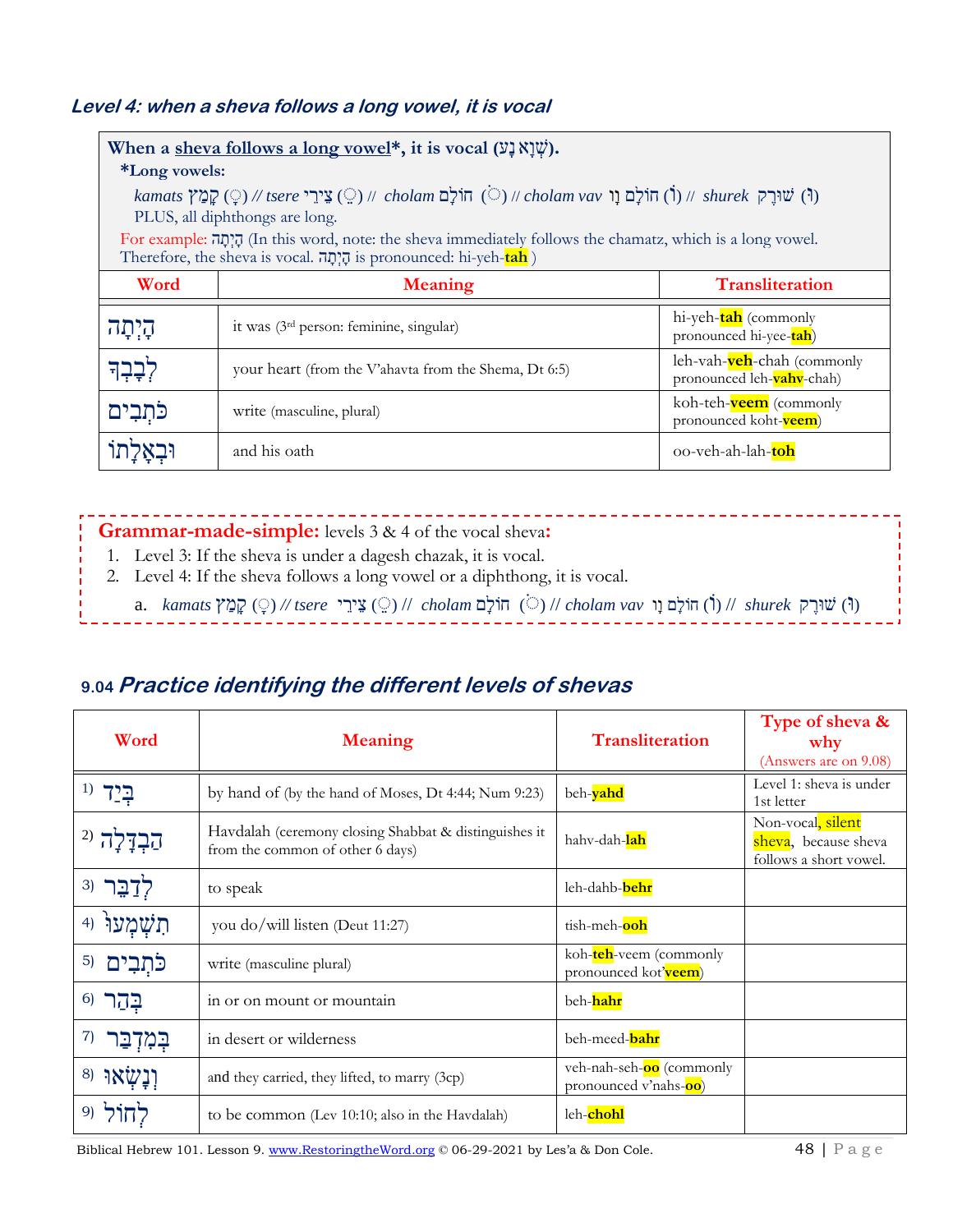#### **Level 4: when a sheva follows a long vowel, it is vocal**

| When a sheva follows a long vowel*, it is vocal (שְׁיָא נָע).                                                                                                                    |                                                       |                                                         |
|----------------------------------------------------------------------------------------------------------------------------------------------------------------------------------|-------------------------------------------------------|---------------------------------------------------------|
| <i>*Long vowels:</i>                                                                                                                                                             |                                                       |                                                         |
| $kamats$ (יָּ) // tsere (ר) שוּרָק (י) // cholam vav (ר) // cholam vav (ר) // shurek (ר) שוּרָק (י) (י)<br>PLUS, all diphthongs are long.                                        |                                                       |                                                         |
| For example: הָיָתָה (In this word, note: the sheva immediately follows the chamatz, which is a long vowel.<br>Therefore, the sheva is vocal. הָיְתָה is pronounced: hi-yeh-tah) |                                                       |                                                         |
| Word                                                                                                                                                                             | <b>Meaning</b>                                        | <b>Transliteration</b>                                  |
| קִיתָה                                                                                                                                                                           | it was (3rd person: feminine, singular)               | hi-yeh-tah (commonly<br>pronounced hi-yee-tah)          |
| לִבָּבְד                                                                                                                                                                         | your heart (from the V'ahavta from the Shema, Dt 6:5) | leh-vah-veh-chah (commonly<br>pronounced leh-vahv-chah) |
| כֹּתְבִים                                                                                                                                                                        | write (masculine, plural)                             | koh-teh- <b>veem</b> (commonly<br>pronounced koht-veem) |
|                                                                                                                                                                                  | and his oath                                          | 00-veh-ah-lah-toh                                       |

## **Grammar-made-simple:** levels 3 & 4 of the vocal sheva**:**

- 1. Level 3: If the sheva is under a dagesh chazak, it is vocal.
- 2. Level 4: If the sheva follows a long vowel or a diphthong, it is vocal.
	- (וּ) שׁוּרֶּ ק *shurek* //) ֹו ) חֹולָם וָו *vav cholam* // ) ֹ ( חֹולָם *cholam* // ) ֵ ( צֵירֵ י *tsere //* ) ָ ( קָמַ ץ *kamats* .a

#### **9.04 Practice identifying the different levels of shevas**

| Word           | <b>Meaning</b>                                                                            | <b>Transliteration</b>                                    | Type of sheva &<br>why<br>(Answers are on 9.08)                     |
|----------------|-------------------------------------------------------------------------------------------|-----------------------------------------------------------|---------------------------------------------------------------------|
|                | by hand of (by the hand of Moses, Dt 4:44; Num 9:23)                                      | beh-vahd                                                  | Level 1: sheva is under<br>1st letter                               |
|                | Havdalah (ceremony closing Shabbat & distinguishes it<br>from the common of other 6 days) | hahv-dah- <mark>lah</mark>                                | Non-vocal, silent<br>sheva, because sheva<br>follows a short vowel. |
| לְדַבֵּר (3    | to speak                                                                                  | leh-dahb-behr                                             |                                                                     |
| תשמעוֹ<br>4)   | you do/will listen (Deut 11:27)                                                           | tish-meh-ooh                                              |                                                                     |
| 5)<br>כתִּבִים | write (masculine plural)                                                                  | koh-teh-veem (commonly<br>pronounced kot'veem)            |                                                                     |
| $6)$ בְּהַר    | in or on mount or mountain                                                                | beh-hahr                                                  |                                                                     |
| 7)<br>جمب      | in desert or wilderness                                                                   | beh-meed-bahr                                             |                                                                     |
| וַנַשְאוּ (8   | and they carried, they lifted, to marry (3cp)                                             | veh-nah-seh- <b>oo</b> (commonly<br>pronounced v'nahs-oo) |                                                                     |
|                | to be common (Lev 10:10; also in the Havdalah)                                            | leh-chohl                                                 |                                                                     |

Biblical Hebrew 101. Lesson 9. [www.RestoringtheWord.org](http://www.restoringtheword.org/) © 06-29-2021 by Les'a & Don Cole. 48 | P a g e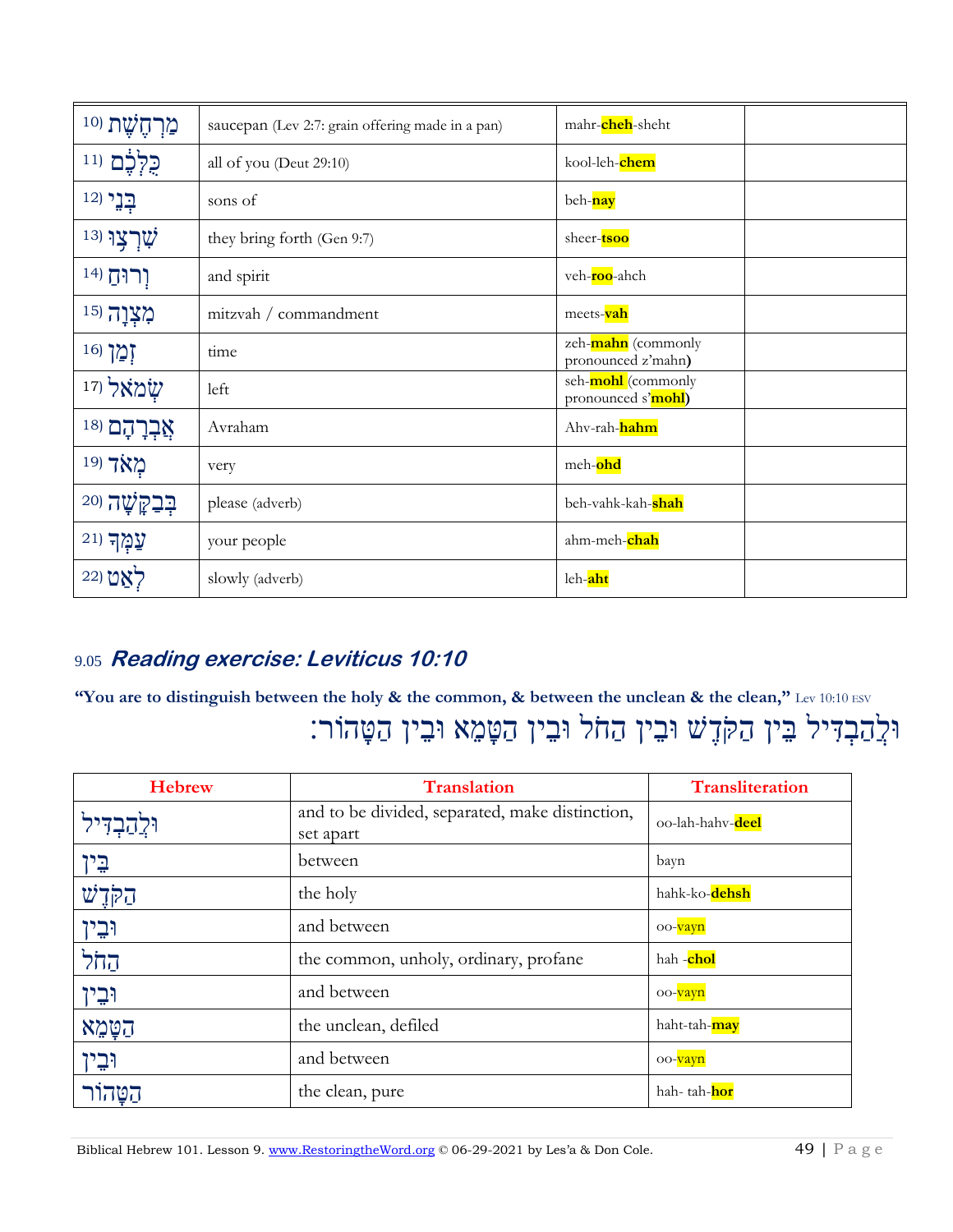| מַרְהֶשֶׁת <sup>(10</sup> | saucepan (Lev 2:7: grain offering made in a pan) | mahr-cheh-sheht                                  |
|---------------------------|--------------------------------------------------|--------------------------------------------------|
| ַכֻלְּבֶׁם (11            | all of you (Deut 29:10)                          | kool-leh-chem                                    |
| בְנֵי (12                 | sons of                                          | beh-nay                                          |
| 13) יָטרצו                | they bring forth (Gen 9:7)                       | sheer- <b>tsoo</b>                               |
| וְרוּחַ (14               | and spirit                                       | veh- <b>roo</b> -ahch                            |
| מִצְוָה (15               | mitzvah / commandment                            | meets-vah                                        |
| $16$ זְמַן                | time                                             | zeh-mahn (commonly<br>pronounced z'mahn)         |
| שׂמאל ו <sup>17</sup>     | left                                             | seh- <b>mohl</b> (commonly<br>pronounced s'mohl) |
| $^{18)}$ בְרָהָם          | Avraham                                          | Ahv-rah-hahm                                     |
| מאד (19                   | very                                             | meh-ohd                                          |
| $^{20}$ הַּבַקֲשָׁה       | please (adverb)                                  | beh-vahk-kah-shah                                |
| $^{21}$ עַמְךְ            | your people                                      | ahm-meh-chah                                     |
| 22) לאט                   | slowly (adverb)                                  | leh-aht                                          |

### 9.05 **Reading exercise: Leviticus 10:10**

**"You are to distinguish between the holy & the common, & between the unclean & the clean,"** Lev 10:10 ESV וּלְהַבְדִיל בֵּין הַקֹּדֶשׁ וּבֵין הַחֹל וּבֵין הַטָּמֵא וּבֵין הַטָּהוֹר:

| <b>Hebrew</b>  | <b>Translation</b>                                           | <b>Transliteration</b> |
|----------------|--------------------------------------------------------------|------------------------|
| וּלֵהַבְדִּיל  | and to be divided, separated, make distinction,<br>set apart | oo-lah-hahv-deel       |
| <u>בֵ</u> ין   | between                                                      | bayn                   |
| $\vec{w}$ קליש | the holy                                                     | hahk-ko-dehsh          |
| וּבֵין         | and between                                                  | oo- <mark>vayn</mark>  |
| הַחֹל          | the common, unholy, ordinary, profane                        | hah -chol              |
| וּבֵין         | and between                                                  | oo-vayn                |
| הַטַּמֵא       | the unclean, defiled                                         | haht-tah-may           |
| וּבֵין         | and between                                                  | oo- <mark>vayn</mark>  |
| הטהור          | the clean, pure                                              | hah- tah-hor           |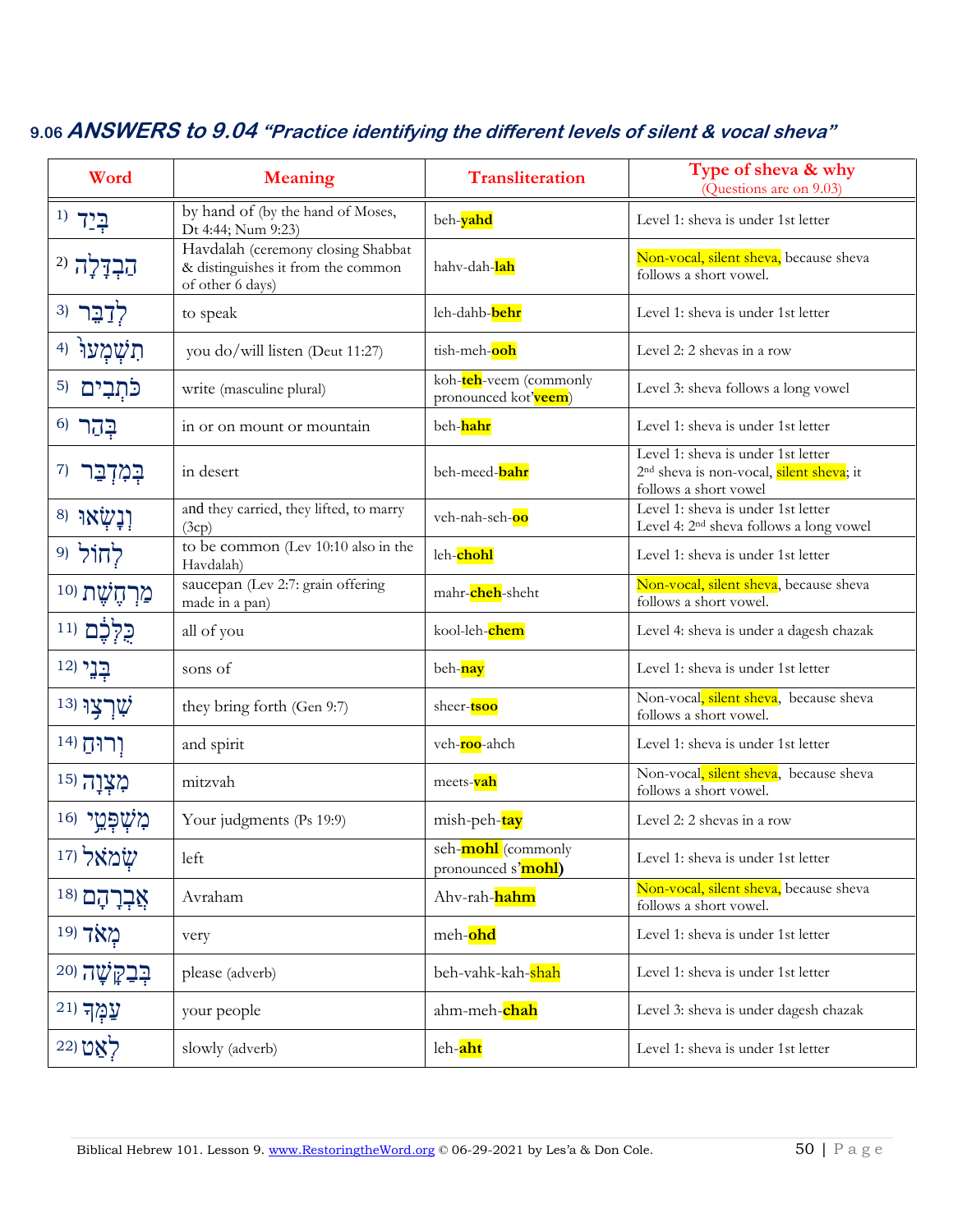| Word                        | <b>Meaning</b>                                                                               | <b>Transliteration</b>                           | Type of sheva & why<br>(Questions are on 9.03)                                                                      |
|-----------------------------|----------------------------------------------------------------------------------------------|--------------------------------------------------|---------------------------------------------------------------------------------------------------------------------|
| $^{(1)}$ בְּיַד             | by hand of (by the hand of Moses,<br>Dt 4:44; Num 9:23)                                      | beh-yahd                                         | Level 1: sheva is under 1st letter                                                                                  |
| $^{2)}$ הַבְדָלָה           | Havdalah (ceremony closing Shabbat<br>& distinguishes it from the common<br>of other 6 days) | hahv-dah-lah                                     | Non-vocal, silent sheva, because sheva<br>follows a short vowel.                                                    |
| לְדָבֵר (3                  | to speak                                                                                     | leh-dahb-behr                                    | Level 1: sheva is under 1st letter                                                                                  |
| תִשְׁמְעוֹ<br>4)            | you do/will listen (Deut 11:27)                                                              | tish-meh-ooh                                     | Level 2: 2 shevas in a row                                                                                          |
| פֿתְבִים<br>5)              | write (masculine plural)                                                                     | koh-teh-veem (commonly<br>pronounced kot'veem)   | Level 3: sheva follows a long vowel                                                                                 |
| $6)$ בְּהַר                 | in or on mount or mountain                                                                   | beh-hahr                                         | Level 1: sheva is under 1st letter                                                                                  |
| 7)<br>בְּמִדְבַר            | in desert                                                                                    | beh-meed-bahr                                    | Level 1: sheva is under 1st letter<br>2 <sup>nd</sup> sheva is non-vocal, silent sheva; it<br>follows a short vowel |
| יָנָשְׂאוּ ( <sup>8</sup>   | and they carried, they lifted, to marry<br>(3cp)                                             | veh-nah-seh-oo                                   | Level 1: sheva is under 1st letter<br>Level 4: 2 <sup>nd</sup> sheva follows a long vowel                           |
| לְחוֹל ו9                   | to be common (Lev 10:10 also in the<br>Havdalah)                                             | leh-chohl                                        | Level 1: sheva is under 1st letter                                                                                  |
| מַרְחֶשֶׁת וּ <sup>10</sup> | saucepan (Lev 2:7: grain offering<br>made in a pan)                                          | mahr-cheh-sheht                                  | Non-vocal, silent sheva, because sheva<br>follows a short vowel.                                                    |
| כֻּלְכֶם וּוּ               | all of you                                                                                   | kool-leh-chem                                    | Level 4: sheva is under a dagesh chazak                                                                             |
| בְנֵי (12                   | sons of                                                                                      | beh-nay                                          | Level 1: sheva is under 1st letter                                                                                  |
| $^{13)}$ עֻרְצְוּ           | they bring forth (Gen 9:7)                                                                   | sheer- <b>tsoo</b>                               | Non-vocal, silent sheva, because sheva<br>follows a short vowel.                                                    |
| וְרוּהַ (14                 | and spirit                                                                                   | veh- <b>roo</b> -ahch                            | Level 1: sheva is under 1st letter                                                                                  |
| מִצְוָה (15                 | mitzvah                                                                                      | meets- <mark>vah</mark>                          | Non-vocal, silent sheva, because sheva<br>follows a short vowel.                                                    |
| $^{16)}$ מְעָפְמֵי          | Your judgments (Ps 19:9)                                                                     | mish-peh-tay                                     | Level 2: 2 shevas in a row                                                                                          |
| שמאל (17                    | left                                                                                         | seh- <b>mohl</b> (commonly<br>pronounced s'mohl) | Level 1: sheva is under 1st letter                                                                                  |
| אֲבְרָהָם <sup>(18</sup>    | Avraham                                                                                      | Ahv-rah-hahm                                     | Non-vocal, silent sheva, because sheva<br>follows a short vowel.                                                    |
| מאד <sup>19</sup>           | very                                                                                         | meh-ohd                                          | Level 1: sheva is under 1st letter                                                                                  |
| $^{20}$ יְטָה               | please (adverb)                                                                              | beh-vahk-kah-shah                                | Level 1: sheva is under 1st letter                                                                                  |
| $21$ עֲמָךְ                 | your people                                                                                  | ahm-meh-chah                                     | Level 3: sheva is under dagesh chazak                                                                               |
| לאַט (22                    | slowly (adverb)                                                                              | leh-aht                                          | Level 1: sheva is under 1st letter                                                                                  |

#### **9.06 ANSWERS to 9.04 "Practice identifying the different levels of silent & vocal sheva"**